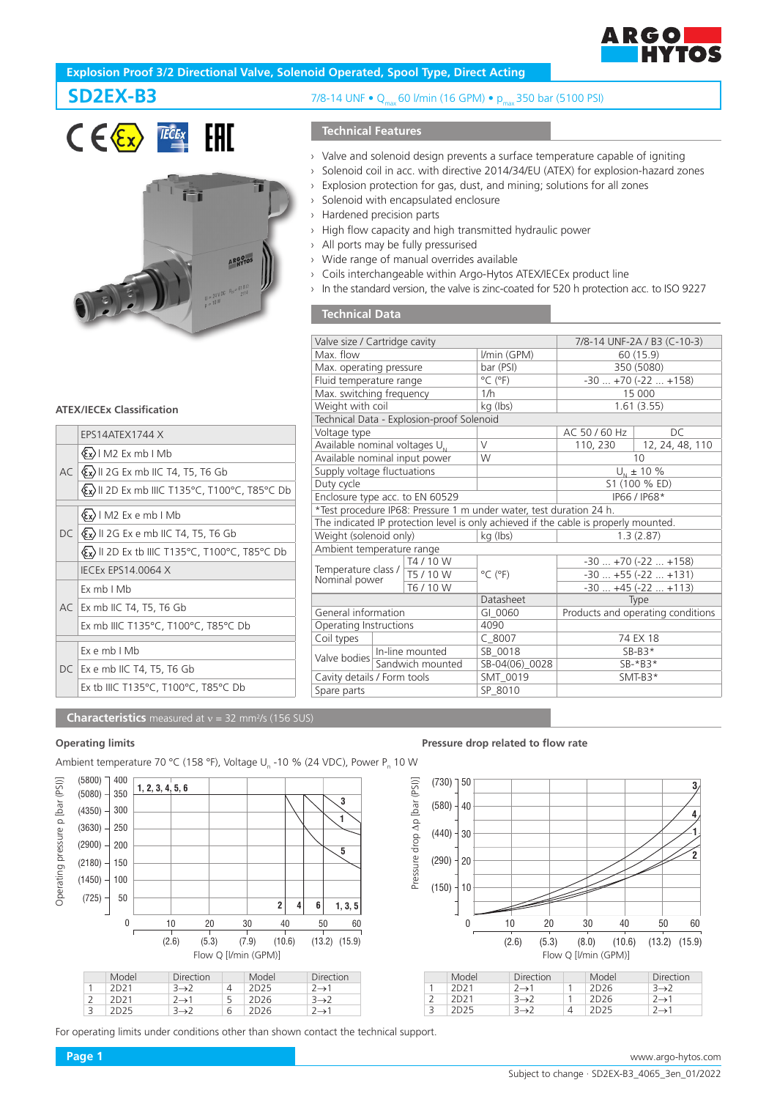

# **Explosion Proof 3/2 Directional Valve, Solenoid Operated, Spool Type, Direct Acting**





# **SD2EX-B3** 7/8-14 UNF • Q<sub>max</sub> 60 l/min (16 GPM) • p<sub>max</sub> 350 bar (5100 PSI)

## **Technical Features**

- › Valve and solenoid design prevents a surface temperature capable of igniting
- › Solenoid coil in acc. with directive 2014/34/EU (ATEX) for explosion-hazard zones
- › Explosion protection for gas, dust, and mining; solutions for all zones
- › Solenoid with encapsulated enclosure
- › Hardened precision parts
- › High flow capacity and high transmitted hydraulic power
- › All ports may be fully pressurised
- › Wide range of manual overrides available
- › Coils interchangeable within Argo-Hytos ATEX/IECEx product line
- › In the standard version, the valve is zinc-coated for 520 h protection acc. to ISO 9227

## **Technical Data**

| Valve size / Cartridge cavity                                                        |                             |                                           |                                                                     | 7/8-14 UNF-2A / B3 (C-10-3)       |                 |  |  |  |
|--------------------------------------------------------------------------------------|-----------------------------|-------------------------------------------|---------------------------------------------------------------------|-----------------------------------|-----------------|--|--|--|
| Max. flow                                                                            |                             |                                           | I/min (GPM)                                                         | 60 (15.9)                         |                 |  |  |  |
| Max. operating pressure                                                              |                             |                                           | bar (PSI)                                                           | 350 (5080)                        |                 |  |  |  |
| Fluid temperature range                                                              |                             |                                           | $^{\circ}$ C ( $^{\circ}$ F)                                        | $-30+70(-22+158)$                 |                 |  |  |  |
| Max. switching frequency                                                             |                             |                                           | 1/h                                                                 | 15 000                            |                 |  |  |  |
| Weight with coil                                                                     |                             |                                           | kg (lbs)                                                            | 1.61(3.55)                        |                 |  |  |  |
|                                                                                      |                             | Technical Data - Explosion-proof Solenoid |                                                                     |                                   |                 |  |  |  |
| Voltage type                                                                         |                             |                                           |                                                                     | AC 50 / 60 Hz                     | DС              |  |  |  |
| Available nominal voltages U <sub>N</sub>                                            |                             |                                           | $\vee$                                                              | 110, 230                          | 12, 24, 48, 110 |  |  |  |
| Available nominal input power                                                        |                             |                                           | W                                                                   | 10                                |                 |  |  |  |
| Supply voltage fluctuations                                                          |                             |                                           |                                                                     | $U_{N}$ ± 10 %                    |                 |  |  |  |
| Duty cycle                                                                           |                             |                                           |                                                                     | S1 (100 % ED)                     |                 |  |  |  |
| Enclosure type acc. to EN 60529                                                      |                             |                                           |                                                                     | IP66 / IP68*                      |                 |  |  |  |
|                                                                                      |                             |                                           | *Test procedure IP68: Pressure 1 m under water, test duration 24 h. |                                   |                 |  |  |  |
| The indicated IP protection level is only achieved if the cable is properly mounted. |                             |                                           |                                                                     |                                   |                 |  |  |  |
| Weight (solenoid only)                                                               |                             |                                           | kg (lbs)                                                            | 1.3(2.87)                         |                 |  |  |  |
| Ambient temperature range                                                            |                             |                                           |                                                                     |                                   |                 |  |  |  |
|                                                                                      |                             | T4 / 10 W                                 |                                                                     | $-30+70(-22+158)$                 |                 |  |  |  |
| Temperature class /<br>Nominal power                                                 |                             | T5 / 10 W                                 | $^{\circ}$ C ( $^{\circ}$ F)                                        | $-30+55(-22+131)$                 |                 |  |  |  |
|                                                                                      |                             | T6 / 10 W                                 |                                                                     | $-30+45(-22+113)$                 |                 |  |  |  |
|                                                                                      |                             |                                           | Datasheet                                                           | Type                              |                 |  |  |  |
| General information                                                                  |                             |                                           | GI 0060                                                             | Products and operating conditions |                 |  |  |  |
| Operating Instructions                                                               |                             |                                           | 4090                                                                |                                   |                 |  |  |  |
| Coil types                                                                           |                             |                                           | $C$ 8007                                                            | 74 EX 18                          |                 |  |  |  |
|                                                                                      | Valve bodies n-line mounted |                                           | SB 0018                                                             | $SB-B3*$                          |                 |  |  |  |
|                                                                                      | Sandwich mounted            |                                           | SB-04(06)_0028                                                      | $SB-*B3*$                         |                 |  |  |  |
| Cavity details / Form tools                                                          |                             |                                           | SMT 0019                                                            | $SMT-B3*$                         |                 |  |  |  |
| Spare parts                                                                          |                             |                                           | SP 8010                                                             |                                   |                 |  |  |  |
|                                                                                      |                             |                                           |                                                                     |                                   |                 |  |  |  |

### **ATEX/IECEx Classification**

|  | EPS14ATEX1744 X                                                              |
|--|------------------------------------------------------------------------------|
|  | $\langle \xi_x \rangle$   M2 Ex mb   Mb                                      |
|  | $AC  \& x\rangle$    2G Ex mb    C T4, T5, T6 Gb                             |
|  | <b>Ex) II 2D Ex mb IIIC T135°C, T100°C, T85°C Db</b>                         |
|  | $\langle \xi_x \rangle$   M2 Ex e mb   Mb                                    |
|  | $DC \langle \xi_{\mathbf{x}} \rangle$ II 2G Ex e mb IIC T4, T5, T6 Gb        |
|  | $\langle \xi_{\mathbf{x}} \rangle$    2D Ex tb    C T135°C, T100°C, T85°C Db |
|  | <b>IECEX EPS14.0064 X</b>                                                    |
|  | Fx mb I Mb                                                                   |
|  | AC Ex mb IIC T4, T5, T6 Gb                                                   |
|  | Ex mb IIIC T135°C, T100°C, T85°C Db                                          |
|  | $Ex$ e mb $I$ Mb                                                             |
|  |                                                                              |
|  | DC   Ex e mb IIC T4, T5, T6 Gb                                               |
|  | Ex tb IIIC T135°C, T100°C, T85°C Db                                          |

**Characteristics** measured at v = 32 mm<sup>2</sup>/s (156 SUS)

 $(5800)$   $\Box$  400 Operating pressure p [bar (PSI)] Operating pressure p [bar (PSI)] **1, 2, 3, 4, 5, 6**  $(5080)$   $-$  350 **3**  $(4350) - 300$ **1**  $(3630)$   $-$  250  $(2900) - 200$ **5**  $(2180) - 150$  $(1450)$   $-$  100  $(725)$  – 50  $2 \begin{vmatrix} 4 & 6 & 1, 3, 5 \end{vmatrix}$ **6** 60 0 10 20 30 40 50 (2.6) (5.3) (7.9) (10.6) (13.2) (15.9) Model Direction Model Direction<br>2D21 3→2 4 2D25 2→1 1 2D21  $3\rightarrow 2$  4 2D25 2→1<br>
2 2D21 2→1 5 2D26 3→2<br>
3 2D25 3→2 6 2D26 2→1 2 2D21 2→1 5 2D26 3→2 3 2D25 3→2 6 2D26 2→1

For operating limits under conditions other than shown contact the technical support.

#### **Operating limits Operating limits Operating limits Pressure drop related to flow rate**



| Model            | Direction         | Model            | Direction         |
|------------------|-------------------|------------------|-------------------|
| 2D21             | $2 \rightarrow 1$ | 2D <sub>26</sub> | $3\rightarrow 2$  |
| 2D <sub>21</sub> | $3\rightarrow 2$  | 2D <sub>26</sub> | $2 \rightarrow 1$ |
| 2D25             | $3\rightarrow 2$  | 2D25             | $2 \rightarrow 1$ |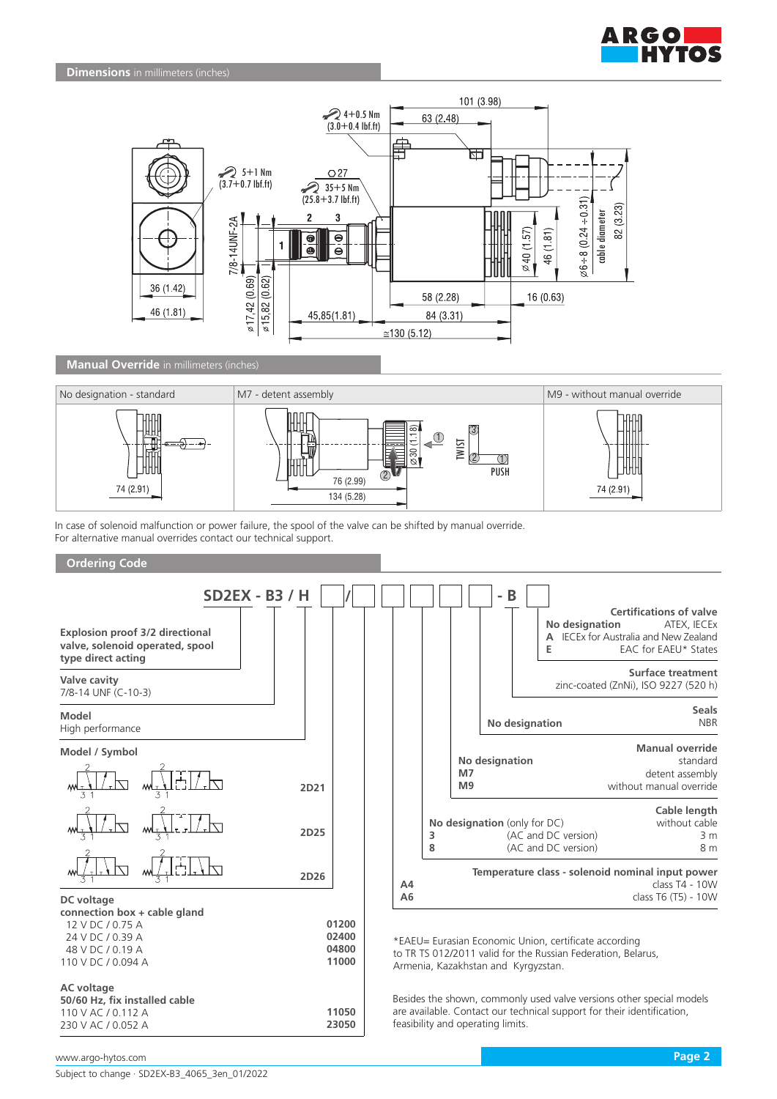



## **Manual Override** in millimeters (inches)



In case of solenoid malfunction or power failure, the spool of the valve can be shifted by manual override. For alternative manual overrides contact our technical support.

## **Ordering Code**

| <b>Explosion proof 3/2 directional</b><br>valve, solenoid operated, spool<br>type direct acting                              | <b>SD2EX - B3 / H</b> |                                  |                |        |                      | B<br>$\overline{a}$ | No designation<br>Е                                                                                                                                          | <b>Certifications of valve</b><br>ATEX, IECEX<br>A IECEx for Australia and New Zealand<br>EAC for EAEU* States                                 |
|------------------------------------------------------------------------------------------------------------------------------|-----------------------|----------------------------------|----------------|--------|----------------------|---------------------|--------------------------------------------------------------------------------------------------------------------------------------------------------------|------------------------------------------------------------------------------------------------------------------------------------------------|
| Valve cavity<br>7/8-14 UNF (C-10-3)                                                                                          |                       |                                  |                |        |                      |                     |                                                                                                                                                              | <b>Surface treatment</b><br>zinc-coated (ZnNi), ISO 9227 (520 h)                                                                               |
| Model<br>High performance                                                                                                    |                       |                                  |                |        |                      |                     | No designation                                                                                                                                               | <b>Seals</b><br><b>NBR</b>                                                                                                                     |
| Model / Symbol                                                                                                               | 2D21                  |                                  |                |        | M7<br>M <sub>9</sub> | No designation      |                                                                                                                                                              | <b>Manual override</b><br>standard<br>detent assembly<br>without manual override                                                               |
|                                                                                                                              | 2D25                  |                                  |                | 3<br>8 |                      |                     | No designation (only for DC)<br>(AC and DC version)<br>(AC and DC version)                                                                                   | Cable length<br>without cable<br>3 <sub>m</sub><br>8 m                                                                                         |
|                                                                                                                              | 2D26                  |                                  | A <sub>4</sub> |        |                      |                     |                                                                                                                                                              | Temperature class - solenoid nominal input power<br>$class T4 - 10W$                                                                           |
| DC voltage<br>connection box + cable gland<br>12 V DC / 0.75 A<br>24 V DC / 0.39 A<br>48 V DC / 0.19 A<br>110 V DC / 0.094 A |                       | 01200<br>02400<br>04800<br>11000 | A6             |        |                      |                     | *EAEU= Eurasian Economic Union, certificate according<br>to TR TS 012/2011 valid for the Russian Federation, Belarus,<br>Armenia, Kazakhstan and Kyrgyzstan. | class T6 (T5) - 10W                                                                                                                            |
| <b>AC</b> voltage<br>50/60 Hz, fix installed cable<br>110 V AC / 0.112 A                                                     |                       | 11050                            |                |        |                      |                     |                                                                                                                                                              | Besides the shown, commonly used valve versions other special models<br>are available. Contact our technical support for their identification, |

**23050**

feasibility and operating limits.

www.argo-hytos.com **Page 2**

230 V AC / 0.052 A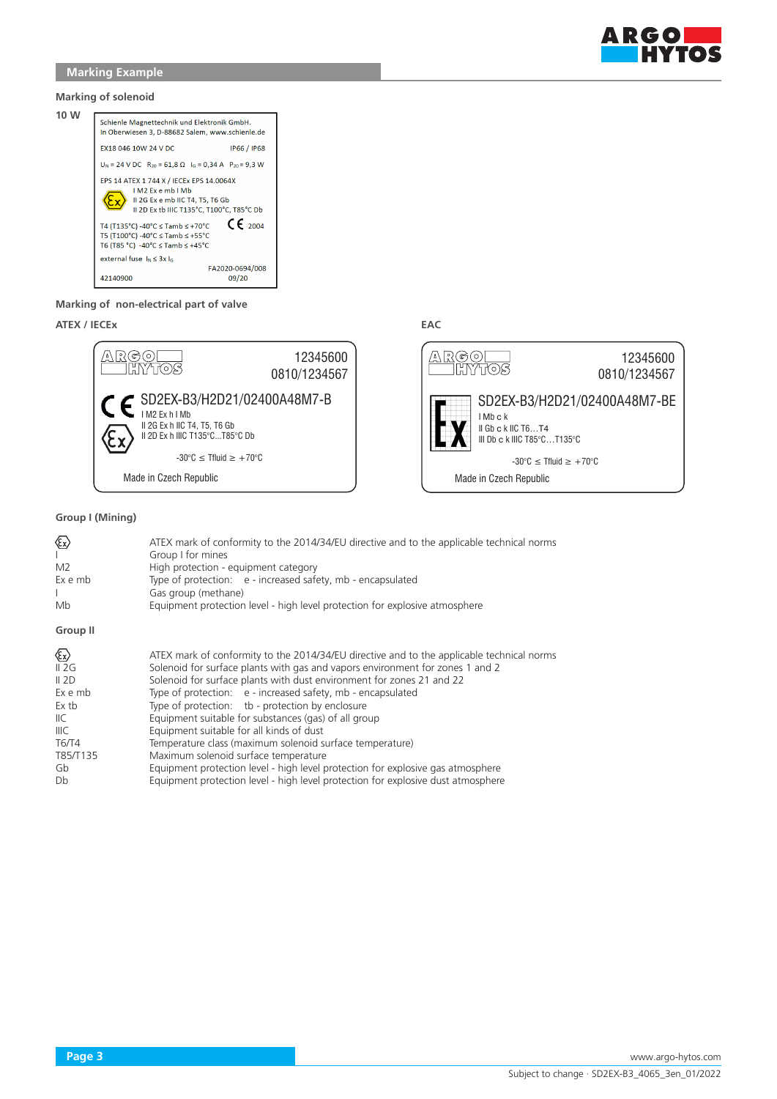

### **Marking of solenoid**



### **Marking of non-electrical part of valve**

## **ATEX / IECEx EAC**



## **Group I (Mining)**

| ☜<br>$\mathbf{L}$<br>M <sub>2</sub><br>Ex e mb<br>Mb | ATEX mark of conformity to the 2014/34/EU directive and to the applicable technical norms<br>Group I for mines<br>High protection - equipment category<br>Type of protection: e - increased safety, mb - encapsulated<br>Gas group (methane)<br>Equipment protection level - high level protection for explosive atmosphere |
|------------------------------------------------------|-----------------------------------------------------------------------------------------------------------------------------------------------------------------------------------------------------------------------------------------------------------------------------------------------------------------------------|
| Group II                                             |                                                                                                                                                                                                                                                                                                                             |
| ☜                                                    | ATEX mark of conformity to the 2014/34/EU directive and to the applicable technical norms                                                                                                                                                                                                                                   |
| II 2G                                                | Solenoid for surface plants with gas and vapors environment for zones 1 and 2                                                                                                                                                                                                                                               |
| II 2D                                                | Solenoid for surface plants with dust environment for zones 21 and 22                                                                                                                                                                                                                                                       |
| Ex e mb                                              | Type of protection: e - increased safety, mb - encapsulated                                                                                                                                                                                                                                                                 |
| Ex tb                                                | Type of protection: tb - protection by enclosure                                                                                                                                                                                                                                                                            |
| IIC.                                                 | Equipment suitable for substances (gas) of all group                                                                                                                                                                                                                                                                        |
| IIIC                                                 | Equipment suitable for all kinds of dust                                                                                                                                                                                                                                                                                    |
| <b>T6/T4</b>                                         | Temperature class (maximum solenoid surface temperature)                                                                                                                                                                                                                                                                    |
| T85/T135                                             | Maximum solenoid surface temperature                                                                                                                                                                                                                                                                                        |
| Gb                                                   | Equipment protection level - high level protection for explosive gas atmosphere                                                                                                                                                                                                                                             |
| Db                                                   | Equipment protection level - high level protection for explosive dust atmosphere                                                                                                                                                                                                                                            |